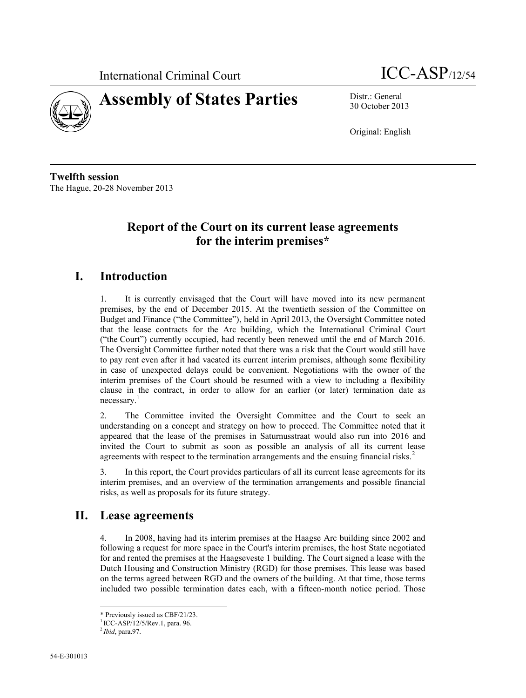



30 October 2013

Original: English

**Twelfth session** The Hague, 20-28 November 2013

# **Report of the Court on its current lease agreements for the interim premises\***

## **I. Introduction**

1. It is currently envisaged that the Court will have moved into its new permanent premises, by the end of December 2015. At the twentieth session of the Committee on Budget and Finance ("the Committee"), held in April 2013, the Oversight Committee noted that the lease contracts for the Arc building, which the International Criminal Court ("the Court") currently occupied, had recently been renewed until the end of March 2016. The Oversight Committee further noted that there was a risk that the Court would still have to pay rent even after it had vacated its current interim premises, although some flexibility in case of unexpected delays could be convenient. Negotiations with the owner of the interim premises of the Court should be resumed with a view to including a flexibility clause in the contract, in order to allow for an earlier (or later) termination date as  $n$ ecessary.<sup>1</sup>

2. The Committee invited the Oversight Committee and the Court to seek an understanding on a concept and strategy on how to proceed. The Committee noted that it appeared that the lease of the premises in Saturnusstraat would also run into 2016 and invited the Court to submit as soon as possible an analysis of all its current lease agreements with respect to the termination arrangements and the ensuing financial risks.<sup>2</sup>

3. In this report, the Court provides particulars of all its current lease agreements for its interim premises, and an overview of the termination arrangements and possible financial risks, as well as proposals for its future strategy.

### **II. Lease agreements**

4. In 2008, having had its interim premises at the Haagse Arc building since 2002 and following a request for more space in the Court's interim premises, the host State negotiated for and rented the premises at the Haagseveste 1 building. The Court signed a lease with the Dutch Housing and Construction Ministry (RGD) for those premises. This lease was based on the terms agreed between RGD and the owners of the building. At that time, those terms included two possible termination dates each, with a fifteen-month notice period. Those

 $\overline{a}$ 

<sup>\*</sup> Previously issued as CBF/21/23.

<sup>1</sup> ICC-ASP/12/5/Rev.1, para. 96.

<sup>2</sup> *Ibid*, para.97.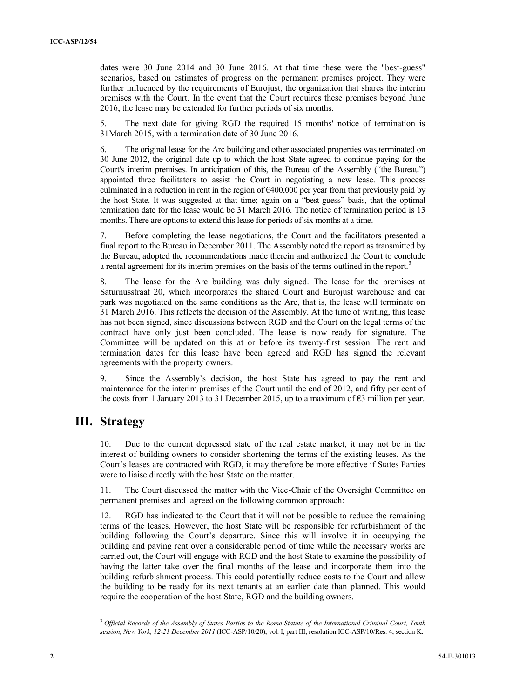dates were 30 June 2014 and 30 June 2016. At that time these were the "best-guess" scenarios, based on estimates of progress on the permanent premises project. They were further influenced by the requirements of Eurojust, the organization that shares the interim premises with the Court. In the event that the Court requires these premises beyond June 2016, the lease may be extended for further periods of six months.

5. The next date for giving RGD the required 15 months' notice of termination is 31March 2015, with a termination date of 30 June 2016.

6. The original lease for the Arc building and other associated properties was terminated on 30 June 2012, the original date up to which the host State agreed to continue paying for the Court's interim premises. In anticipation of this, the Bureau of the Assembly ("the Bureau") appointed three facilitators to assist the Court in negotiating a new lease. This process culminated in a reduction in rent in the region of  $\epsilon$ 400,000 per year from that previously paid by the host State. It was suggested at that time; again on a "best-guess" basis, that the optimal termination date for the lease would be 31 March 2016. The notice of termination period is 13 months. There are options to extend this lease for periods of six months at a time.

7. Before completing the lease negotiations, the Court and the facilitators presented a final report to the Bureau in December 2011. The Assembly noted the report as transmitted by the Bureau, adopted the recommendations made therein and authorized the Court to conclude a rental agreement for its interim premises on the basis of the terms outlined in the report.<sup>3</sup>

8. The lease for the Arc building was duly signed. The lease for the premises at Saturnusstraat 20, which incorporates the shared Court and Eurojust warehouse and car park was negotiated on the same conditions as the Arc, that is, the lease will terminate on 31 March 2016. This reflects the decision of the Assembly. At the time of writing, this lease has not been signed, since discussions between RGD and the Court on the legal terms of the contract have only just been concluded. The lease is now ready for signature. The Committee will be updated on this at or before its twenty-first session. The rent and termination dates for this lease have been agreed and RGD has signed the relevant agreements with the property owners.

9. Since the Assembly's decision, the host State has agreed to pay the rent and maintenance for the interim premises of the Court until the end of 2012, and fifty per cent of the costs from 1 January 2013 to 31 December 2015, up to a maximum of  $\epsilon$ 3 million per year.

#### **III. Strategy**

 $\overline{a}$ 

10. Due to the current depressed state of the real estate market, it may not be in the interest of building owners to consider shortening the terms of the existing leases. As the Court's leases are contracted with RGD, it may therefore be more effective if States Parties were to liaise directly with the host State on the matter.

11. The Court discussed the matter with the Vice-Chair of the Oversight Committee on permanent premises and agreed on the following common approach:

12. RGD has indicated to the Court that it will not be possible to reduce the remaining terms of the leases. However, the host State will be responsible for refurbishment of the building following the Court's departure. Since this will involve it in occupying the building and paying rent over a considerable period of time while the necessary works are carried out, the Court will engage with RGD and the host State to examine the possibility of having the latter take over the final months of the lease and incorporate them into the building refurbishment process. This could potentially reduce costs to the Court and allow the building to be ready for its next tenants at an earlier date than planned. This would require the cooperation of the host State, RGD and the building owners.

<sup>3</sup> *Official Records of the Assembly of States Parties to the Rome Statute of the International Criminal Court, Tenth session, New York, 12-21 December 2011* (ICC-ASP/10/20), vol. I, part III, resolution ICC-ASP/10/Res. 4, section K.